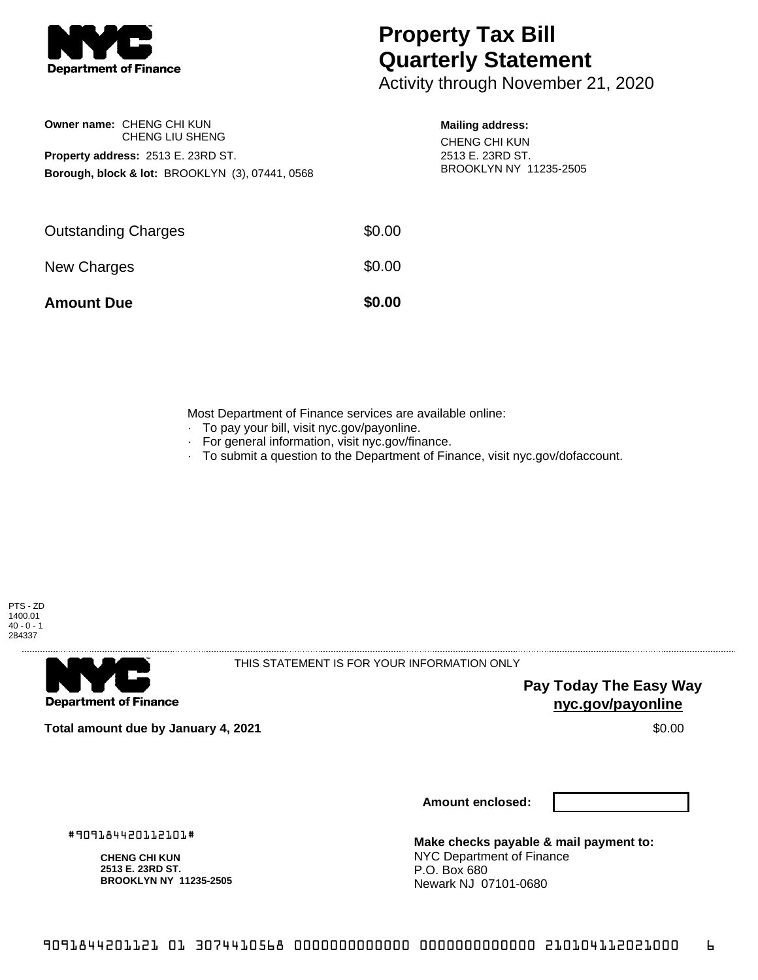

**Owner name:** CHENG CHI KUN

**Property address:** 2513 E. 23RD ST.

CHENG LIU SHENG

**Borough, block & lot:** BROOKLYN (3), 07441, 0568

## **Property Tax Bill Quarterly Statement**

Activity through November 21, 2020

## **Mailing address:**

CHENG CHI KUN 2513 E. 23RD ST. BROOKLYN NY 11235-2505

| <b>Amount Due</b>          | \$0.00 |
|----------------------------|--------|
| New Charges                | \$0.00 |
| <b>Outstanding Charges</b> | \$0.00 |

Most Department of Finance services are available online:

- · To pay your bill, visit nyc.gov/payonline.
- For general information, visit nyc.gov/finance.
- · To submit a question to the Department of Finance, visit nyc.gov/dofaccount.





THIS STATEMENT IS FOR YOUR INFORMATION ONLY

**Pay Today The Easy Way nyc.gov/payonline**

**Total amount due by January 4, 2021** \$0.00

**Amount enclosed:**

#909184420112101#

**CHENG CHI KUN 2513 E. 23RD ST. BROOKLYN NY 11235-2505**

**Make checks payable & mail payment to:** NYC Department of Finance P.O. Box 680 Newark NJ 07101-0680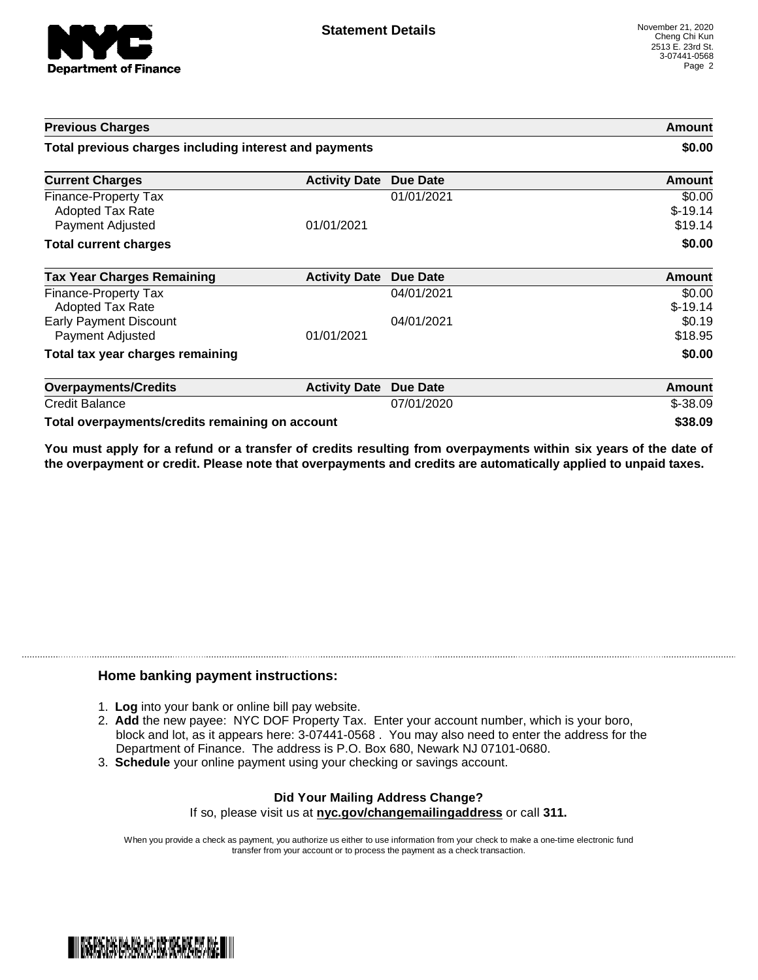

| <b>Previous Charges</b>                                             |                      |                 | Amount                         |
|---------------------------------------------------------------------|----------------------|-----------------|--------------------------------|
| Total previous charges including interest and payments              |                      | \$0.00          |                                |
| <b>Current Charges</b>                                              | <b>Activity Date</b> | Due Date        | Amount                         |
| Finance-Property Tax<br><b>Adopted Tax Rate</b><br>Payment Adjusted | 01/01/2021           | 01/01/2021      | \$0.00<br>$$-19.14$<br>\$19.14 |
| <b>Total current charges</b>                                        |                      |                 | \$0.00                         |
| <b>Tax Year Charges Remaining</b>                                   | <b>Activity Date</b> | <b>Due Date</b> | Amount                         |
| Finance-Property Tax<br>Adopted Tax Rate                            |                      | 04/01/2021      | \$0.00<br>$$-19.14$            |
| <b>Early Payment Discount</b><br>Payment Adjusted                   | 01/01/2021           | 04/01/2021      | \$0.19<br>\$18.95              |
| Total tax year charges remaining                                    |                      |                 | \$0.00                         |
| <b>Overpayments/Credits</b>                                         | <b>Activity Date</b> | <b>Due Date</b> | <b>Amount</b>                  |
| <b>Credit Balance</b>                                               |                      | 07/01/2020      | $$-38.09$                      |
| Total overpayments/credits remaining on account                     |                      |                 | \$38.09                        |

You must apply for a refund or a transfer of credits resulting from overpayments within six years of the date of **the overpayment or credit. Please note that overpayments and credits are automatically applied to unpaid taxes.**

## **Home banking payment instructions:**

- 1. **Log** into your bank or online bill pay website.
- 2. **Add** the new payee: NYC DOF Property Tax. Enter your account number, which is your boro, block and lot, as it appears here: 3-07441-0568 . You may also need to enter the address for the Department of Finance. The address is P.O. Box 680, Newark NJ 07101-0680.
- 3. **Schedule** your online payment using your checking or savings account.

## **Did Your Mailing Address Change?** If so, please visit us at **nyc.gov/changemailingaddress** or call **311.**

When you provide a check as payment, you authorize us either to use information from your check to make a one-time electronic fund transfer from your account or to process the payment as a check transaction.